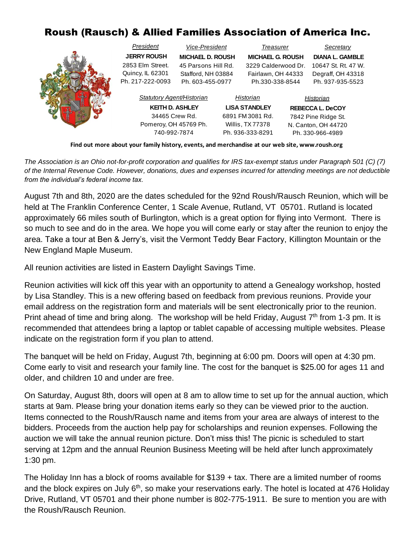## Roush (Rausch) & Allied Families Association of America Inc.

|  | President<br>Vice-President |                         | <b>Treasurer</b>     |                         |                         | Secretary              |  |
|--|-----------------------------|-------------------------|----------------------|-------------------------|-------------------------|------------------------|--|
|  | <b>JERRY ROUSH</b>          | <b>MICHAEL D. ROUSH</b> |                      | <b>MICHAEL G. ROUSH</b> |                         | <b>DIANA L. GAMBLE</b> |  |
|  | 2853 Elm Street.            | 45 Parsons Hill Rd.     |                      | 3229 Calderwood Dr.     |                         | 10647 St. Rt. 47 W.    |  |
|  | Quincy, IL 62301            | Stafford, NH 03884      |                      | Fairlawn, OH 44333      |                         | Degraff, OH 43318      |  |
|  | Ph. 217-222-0093            | Ph. 603-455-0977        |                      | Ph.330-338-8544         |                         | Ph. 937-935-5523       |  |
|  | Statutory Agent/Historian   |                         | Historian            |                         | Historian               |                        |  |
|  | <b>KEITH D. ASHLEY</b>      |                         | <b>LISA STANDLEY</b> |                         | <b>REBECCA L. DeCOY</b> |                        |  |
|  | 34465 Crew Rd.              |                         | 6891 FM 3081 Rd.     |                         | 7842 Pine Ridge St.     |                        |  |
|  | Pomeroy, OH 45769 Ph.       |                         | Willis, TX77378      |                         | N. Canton, OH 44720     |                        |  |
|  | 740-992-7874                |                         | Ph. 936-333-8291     |                         | Ph. 330-966-4989        |                        |  |

**Find out more about your family history, events, and merchandise at our web site, www.roush.org** 

*The Association is an Ohio not-for-profit corporation and qualifies for IRS tax-exempt status under Paragraph 501 (C) (7) of the Internal Revenue Code. However, donations, dues and expenses incurred for attending meetings are not deductible from the individual's federal income tax.*

August 7th and 8th, 2020 are the dates scheduled for the 92nd Roush/Rausch Reunion, which will be held at The Franklin Conference Center, 1 Scale Avenue, Rutland, VT 05701. Rutland is located approximately 66 miles south of Burlington, which is a great option for flying into Vermont. There is so much to see and do in the area. We hope you will come early or stay after the reunion to enjoy the area. Take a tour at Ben & Jerry's, visit the Vermont Teddy Bear Factory, Killington Mountain or the New England Maple Museum.

All reunion activities are listed in Eastern Daylight Savings Time.

Reunion activities will kick off this year with an opportunity to attend a Genealogy workshop, hosted by Lisa Standley. This is a new offering based on feedback from previous reunions. Provide your email address on the registration form and materials will be sent electronically prior to the reunion. Print ahead of time and bring along. The workshop will be held Friday, August 7<sup>th</sup> from 1-3 pm. It is recommended that attendees bring a laptop or tablet capable of accessing multiple websites. Please indicate on the registration form if you plan to attend.

The banquet will be held on Friday, August 7th, beginning at 6:00 pm. Doors will open at 4:30 pm. Come early to visit and research your family line. The cost for the banquet is \$25.00 for ages 11 and older, and children 10 and under are free.

On Saturday, August 8th, doors will open at 8 am to allow time to set up for the annual auction, which starts at 9am. Please bring your donation items early so they can be viewed prior to the auction. Items connected to the Roush/Rausch name and items from your area are always of interest to the bidders. Proceeds from the auction help pay for scholarships and reunion expenses. Following the auction we will take the annual reunion picture. Don't miss this! The picnic is scheduled to start serving at 12pm and the annual Reunion Business Meeting will be held after lunch approximately 1:30 pm.

The Holiday Inn has a block of rooms available for \$139 + tax. There are a limited number of rooms and the block expires on July 6<sup>th</sup>, so make your reservations early. The hotel is located at 476 Holiday Drive, Rutland, VT 05701 and their phone number is 802-775-1911. Be sure to mention you are with the Roush/Rausch Reunion.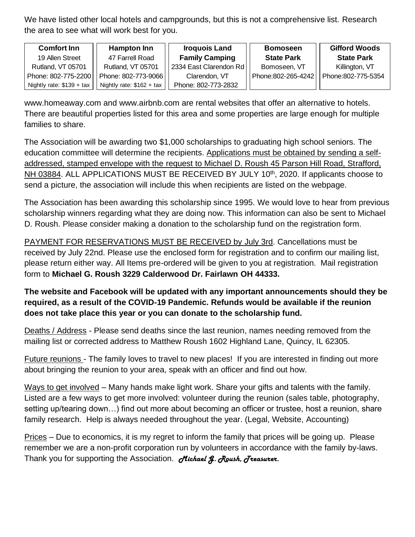We have listed other local hotels and campgrounds, but this is not a comprehensive list. Research the area to see what will work best for you.

| <b>Comfort Inn</b>         | <b>Hampton Inn</b>        | <b>Iroquois Land</b>   | <b>Bomoseen</b>    | <b>Gifford Woods</b> |
|----------------------------|---------------------------|------------------------|--------------------|----------------------|
| 19 Allen Street            | 47 Farrell Road           | <b>Family Camping</b>  | <b>State Park</b>  | <b>State Park</b>    |
| Rutland, VT 05701          | Rutland, VT 05701         | 2334 East Clarendon Rd | Bomoseen, VT       | Killington, VT       |
| Phone: 802-775-2200        | Phone: 802-773-9066       | Clarendon, VT          | Phone:802-265-4242 | Phone:802-775-5354   |
| Nightly rate: $$139 + tax$ | Nightly rate: \$162 + tax | Phone: 802-773-2832    |                    |                      |

www.homeaway.com and www.airbnb.com are rental websites that offer an alternative to hotels. There are beautiful properties listed for this area and some properties are large enough for multiple families to share.

The Association will be awarding two \$1,000 scholarships to graduating high school seniors. The education committee will determine the recipients. Applications must be obtained by sending a selfaddressed, stamped envelope with the request to Michael D. Roush 45 Parson Hill Road, Strafford, NH 03884. ALL APPLICATIONS MUST BE RECEIVED BY JULY 10<sup>th</sup>, 2020. If applicants choose to send a picture, the association will include this when recipients are listed on the webpage.

The Association has been awarding this scholarship since 1995. We would love to hear from previous scholarship winners regarding what they are doing now. This information can also be sent to Michael D. Roush. Please consider making a donation to the scholarship fund on the registration form.

PAYMENT FOR RESERVATIONS MUST BE RECEIVED by July 3rd. Cancellations must be received by July 22nd. Please use the enclosed form for registration and to confirm our mailing list, please return either way. All Items pre-ordered will be given to you at registration. Mail registration form to **Michael G. Roush 3229 Calderwood Dr. Fairlawn OH 44333.**

**The website and Facebook will be updated with any important announcements should they be required, as a result of the COVID-19 Pandemic. Refunds would be available if the reunion does not take place this year or you can donate to the scholarship fund.** 

Deaths / Address - Please send deaths since the last reunion, names needing removed from the mailing list or corrected address to Matthew Roush 1602 Highland Lane, Quincy, IL 62305.

Future reunions - The family loves to travel to new places! If you are interested in finding out more about bringing the reunion to your area, speak with an officer and find out how.

Ways to get involved – Many hands make light work. Share your gifts and talents with the family. Listed are a few ways to get more involved: volunteer during the reunion (sales table, photography, setting up/tearing down…) find out more about becoming an officer or trustee, host a reunion, share family research. Help is always needed throughout the year. (Legal, Website, Accounting)

Prices – Due to economics, it is my regret to inform the family that prices will be going up. Please remember we are a non-profit corporation run by volunteers in accordance with the family by-laws. Thank you for supporting the Association. *Michael G. Roush, Treasurer.*